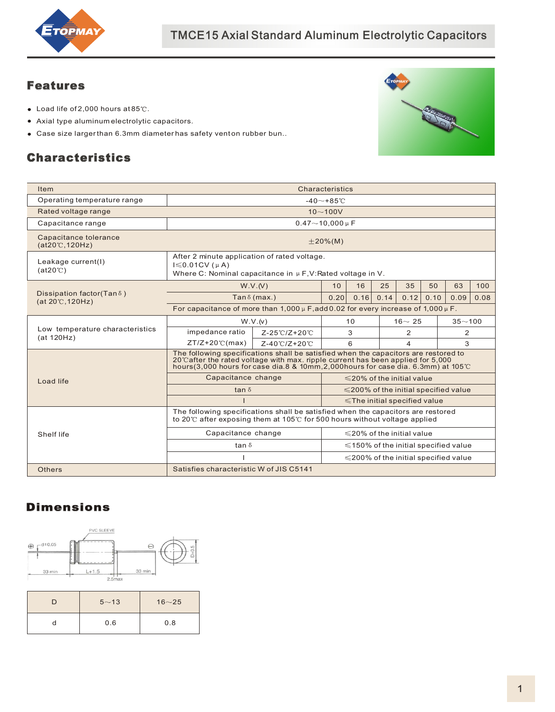

### Features

- $\bullet$  Load life of 2,000 hours at 85°C.
- Axial type aluminum electrolytic capacitors.
- $\bullet$  Case size larger than 6.3mm diameter has safety vent on rubber bun..

## Characteristics



| Item                                                   | Characteristics                                                                                                                                                                                                                                                       |                                            |             |                                            |                                   |      |            |      |      |  |
|--------------------------------------------------------|-----------------------------------------------------------------------------------------------------------------------------------------------------------------------------------------------------------------------------------------------------------------------|--------------------------------------------|-------------|--------------------------------------------|-----------------------------------|------|------------|------|------|--|
| Operating temperature range                            | $-40 - +85$ °C                                                                                                                                                                                                                                                        |                                            |             |                                            |                                   |      |            |      |      |  |
| Rated voltage range                                    |                                                                                                                                                                                                                                                                       |                                            | $10 - 100V$ |                                            |                                   |      |            |      |      |  |
| Capacitance range                                      |                                                                                                                                                                                                                                                                       | $0.47 - 10.000 \,\mu$ F                    |             |                                            |                                   |      |            |      |      |  |
| Capacitance tolerance<br>$(at20^{\circ}C, 120Hz)$      | $\pm 20\%$ (M)                                                                                                                                                                                                                                                        |                                            |             |                                            |                                   |      |            |      |      |  |
| Leakage current(I)<br>$(at20^{\circ}C)$                | After 2 minute application of rated voltage.<br>$I \leq 0.01CV$ ( $\mu$ A)<br>Where C: Nominal capacitance in $\mu$ F, V: Rated voltage in V.                                                                                                                         |                                            |             |                                            |                                   |      |            |      |      |  |
|                                                        |                                                                                                                                                                                                                                                                       | W.V.(V)                                    | 10          | 16                                         | 25                                | 35   | 50         | 63   | 100  |  |
| Dissipation factor(Tan δ)<br>$(at 20^{\circ}C, 120Hz)$ | Tan $\delta$ (max.)                                                                                                                                                                                                                                                   |                                            |             | 0.16                                       | 0.14                              | 0.12 | 0.10       | 0.09 | 0.08 |  |
|                                                        | For capacitance of more than $1,000 \mu$ F, add 0.02 for every increase of 1,000 $\mu$ F.                                                                                                                                                                             |                                            |             |                                            |                                   |      |            |      |      |  |
|                                                        | W.V.(v)                                                                                                                                                                                                                                                               | 10                                         |             |                                            | $16 - 25$                         |      | $35 - 100$ |      |      |  |
| Low temperature characteristics<br>(at 120Hz)          | impedance ratio                                                                                                                                                                                                                                                       | Z-25℃/Z+20℃                                | 3           |                                            |                                   | 2    |            | 2    |      |  |
|                                                        | $ZT/Z+20$ °C(max)                                                                                                                                                                                                                                                     | 6<br>4                                     |             |                                            |                                   | 3    |            |      |      |  |
|                                                        | The following specifications shall be satisfied when the capacitors are restored to<br>20°Cafter the rated voltage with max. ripple current has been applied for 5,000<br>hours (3,000 hours for case dia 8 & 10mm, 2,000 hours for case dia. 6.3mm) at 105 $\degree$ |                                            |             |                                            |                                   |      |            |      |      |  |
| Load life                                              | Capacitance change                                                                                                                                                                                                                                                    | $\leq$ 20% of the initial value            |             |                                            |                                   |      |            |      |      |  |
|                                                        | tan $\delta$                                                                                                                                                                                                                                                          | $\leq$ 200% of the initial specified value |             |                                            |                                   |      |            |      |      |  |
|                                                        |                                                                                                                                                                                                                                                                       |                                            |             |                                            | $\le$ The initial specified value |      |            |      |      |  |
|                                                        | The following specifications shall be satisfied when the capacitors are restored<br>to 20 $\degree$ after exposing them at 105 $\degree$ for 500 hours without voltage applied                                                                                        |                                            |             |                                            |                                   |      |            |      |      |  |
| Shelf life                                             | Capacitance change                                                                                                                                                                                                                                                    | $\leq$ 20% of the initial value            |             |                                            |                                   |      |            |      |      |  |
|                                                        | tan $\delta$                                                                                                                                                                                                                                                          | $\leq$ 150% of the initial specified value |             |                                            |                                   |      |            |      |      |  |
|                                                        |                                                                                                                                                                                                                                                                       |                                            |             | $\leq$ 200% of the initial specified value |                                   |      |            |      |      |  |
|                                                        |                                                                                                                                                                                                                                                                       |                                            |             |                                            |                                   |      |            |      |      |  |

#### Dimensions



| $5^{\sim}13$ | $16 - 25$ |
|--------------|-----------|
| 0.6          | 0.8       |